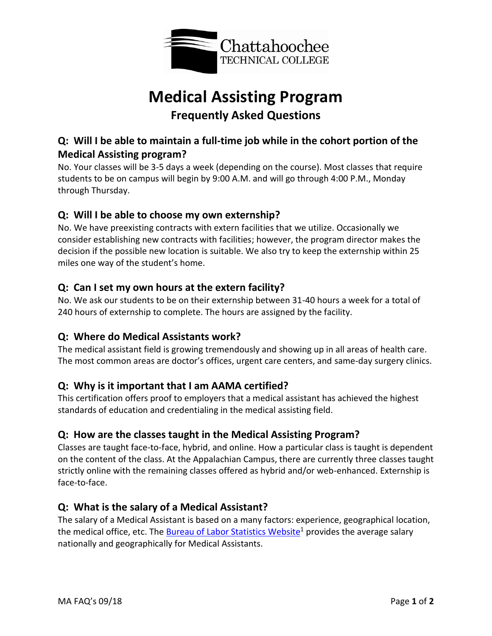

# **Medical Assisting Program Frequently Asked Questions**

# **Q: Will I be able to maintain a full-time job while in the cohort portion of the Medical Assisting program?**

No. Your classes will be 3-5 days a week (depending on the course). Most classes that require students to be on campus will begin by 9:00 A.M. and will go through 4:00 P.M., Monday through Thursday.

## **Q: Will I be able to choose my own externship?**

No. We have preexisting contracts with extern facilities that we utilize. Occasionally we consider establishing new contracts with facilities; however, the program director makes the decision if the possible new location is suitable. We also try to keep the externship within 25 miles one way of the student's home.

### **Q: Can I set my own hours at the extern facility?**

No. We ask our students to be on their externship between 31-40 hours a week for a total of 240 hours of externship to complete. The hours are assigned by the facility.

### **Q: Where do Medical Assistants work?**

The medical assistant field is growing tremendously and showing up in all areas of health care. The most common areas are doctor's offices, urgent care centers, and same-day surgery clinics.

### **Q: Why is it important that I am AAMA certified?**

This certification offers proof to employers that a medical assistant has achieved the highest standards of education and credentialing in the medical assisting field.

### **Q: How are the classes taught in the Medical Assisting Program?**

Classes are taught face-to-face, hybrid, and online. How a particular class is taught is dependent on the content of the class. At the Appalachian Campus, there are currently three classes taught strictly online with the remaining classes offered as hybrid and/or web-enhanced. Externship is face-to-face.

### **Q: What is the salary of a Medical Assistant?**

The salary of a Medical Assistant is based on a many factors: experience, geographical location, the medical office, etc. Th[e Bureau of Labor Statistics](https://www.bls.gov/) Website<sup>1</sup> provides the average salary nationally and geographically for Medical Assistants.